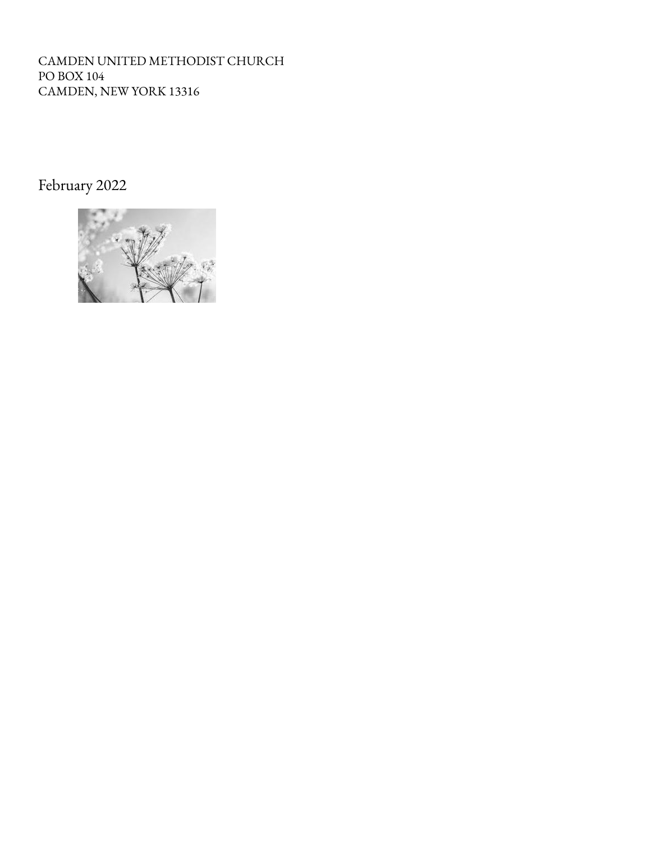CAMDEN UNITED METHODIST CHURCH PO BOX 104 CAMDEN, NEW YORK 13316

February 2022

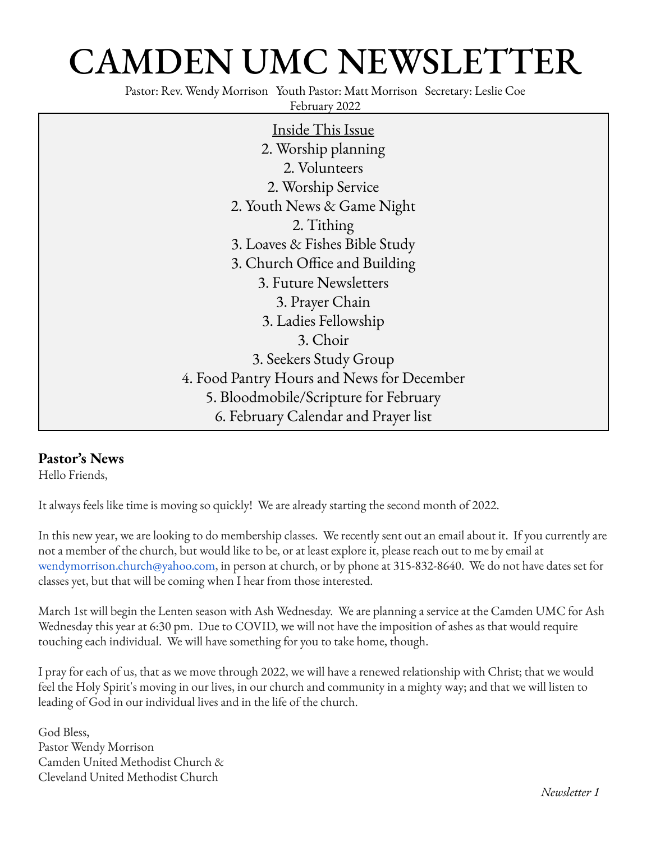# CAMDEN UMC NEWSLETTER

Pastor: Rev. Wendy Morrison Youth Pastor: Matt Morrison Secretary: Leslie Coe

February 2022

| Inside This Issue                          |  |
|--------------------------------------------|--|
|                                            |  |
| 2. Worship planning                        |  |
| 2. Volunteers                              |  |
| 2. Worship Service                         |  |
| 2. Youth News & Game Night                 |  |
| 2. Tithing                                 |  |
| 3. Loaves & Fishes Bible Study             |  |
| 3. Church Office and Building              |  |
| 3. Future Newsletters                      |  |
| 3. Prayer Chain                            |  |
| 3. Ladies Fellowship                       |  |
| 3. Choir                                   |  |
| 3. Seekers Study Group                     |  |
| 4. Food Pantry Hours and News for December |  |
| 5. Bloodmobile/Scripture for February      |  |
| 6. February Calendar and Prayer list       |  |

#### **Pastor's News**

Hello Friends,

It always feels like time is moving so quickly! We are already starting the second month of 2022.

In this new year, we are looking to do membership classes. We recently sent out an email about it. If you currently are not a member of the church, but would like to be, or at least explore it, please reach out to me by email at wendymorrison.church@yahoo.com, in person at church, or by phone at 315-832-8640. We do not have dates set for classes yet, but that will be coming when I hear from those interested.

March 1st will begin the Lenten season with Ash Wednesday. We are planning a service at the Camden UMC for Ash Wednesday this year at 6:30 pm. Due to COVID, we will not have the imposition of ashes as that would require touching each individual. We will have something for you to take home, though.

I pray for each of us, that as we move through 2022, we will have a renewed relationship with Christ; that we would feel the Holy Spirit's moving in our lives, in our church and community in a mighty way; and that we will listen to leading of God in our individual lives and in the life of the church.

God Bless, Pastor Wendy Morrison Camden United Methodist Church & Cleveland United Methodist Church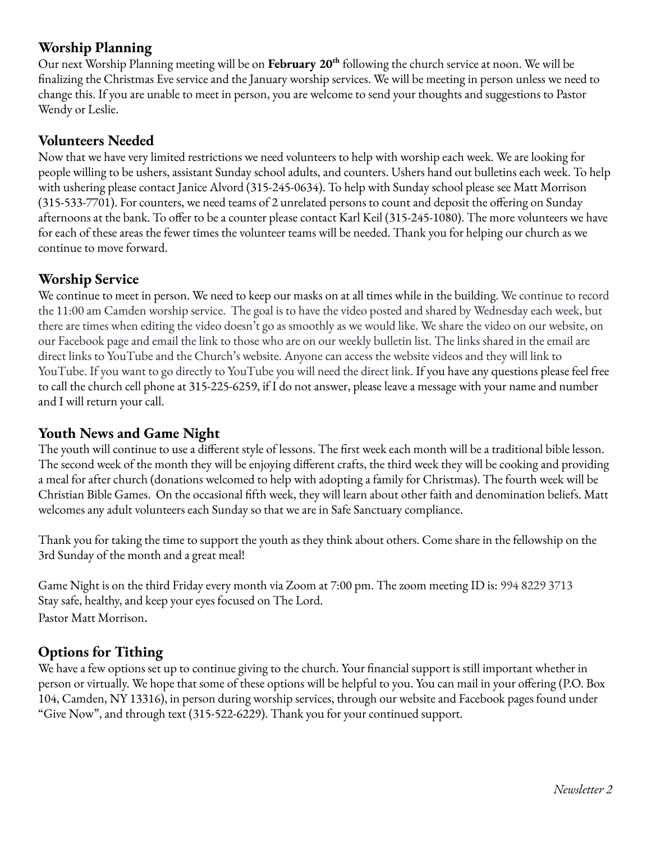# **Worship Planning**

Our next Worship Planning meeting will be on **February 20 th** following the church service at noon. We will be finalizing the Christmas Eve service and the January worship services. We will be meeting in person unless we need to change this. If you are unable to meet in person, you are welcome to send your thoughts and suggestions to Pastor Wendy or Leslie.

## **Volunteers Needed**

Now that we have very limited restrictions we need volunteers to help with worship each week. We are looking for people willing to be ushers, assistant Sunday school adults, and counters. Ushers hand out bulletins each week. To help with ushering please contact Janice Alvord (315-245-0634). To help with Sunday school please see Matt Morrison (315-533-7701). For counters, we need teams of 2 unrelated persons to count and deposit the offering on Sunday afternoons at the bank. To offer to be a counter please contact Karl Keil (315-245-1080). The more volunteers we have for each of these areas the fewer times the volunteer teams will be needed. Thank you for helping our church as we continue to move forward.

## **Worship Service**

We continue to meet in person. We need to keep our masks on at all times while in the building. We continue to record the 11:00 am Camden worship service. The goal is to have the video posted and shared by Wednesday each week, but there are times when editing the video doesn't go as smoothly as we would like. We share the video on our website, on our Facebook page and email the link to those who are on our weekly bulletin list. The links shared in the email are direct links to YouTube and the Church's website. Anyone can access the website videos and they will link to YouTube. If you want to go directly to YouTube you will need the direct link. If you have any questions please feel free to call the church cell phone at 315-225-6259, if I do not answer, please leave a message with your name and number and I will return your call.

## **Youth News and Game Night**

The youth will continue to use a different style of lessons. The first week each month will be a traditional bible lesson. The second week of the month they will be enjoying different crafts, the third week they will be cooking and providing a meal for after church (donations welcomed to help with adopting a family for Christmas). The fourth week will be Christian Bible Games. On the occasional fifth week, they will learn about other faith and denomination beliefs. Matt welcomes any adult volunteers each Sunday so that we are in Safe Sanctuary compliance.

Thank you for taking the time to support the youth as they think about others. Come share in the fellowship on the 3rd Sunday of the month and a great meal!

Game Night is on the third Friday every month via Zoom at 7:00 pm. The zoom meeting ID is: 994 8229 3713 Stay safe, healthy, and keep your eyes focused on The Lord. Pastor Matt Morrison.

# **Options for Tithing**

We have a few options set up to continue giving to the church. Your financial support is still important whether in person or virtually. We hope that some of these options will be helpful to you. You can mail in your offering (P.O. Box 104, Camden, NY 13316), in person during worship services, through our website and Facebook pages found under "Give Now", and through text (315-522-6229). Thank you for your continued support.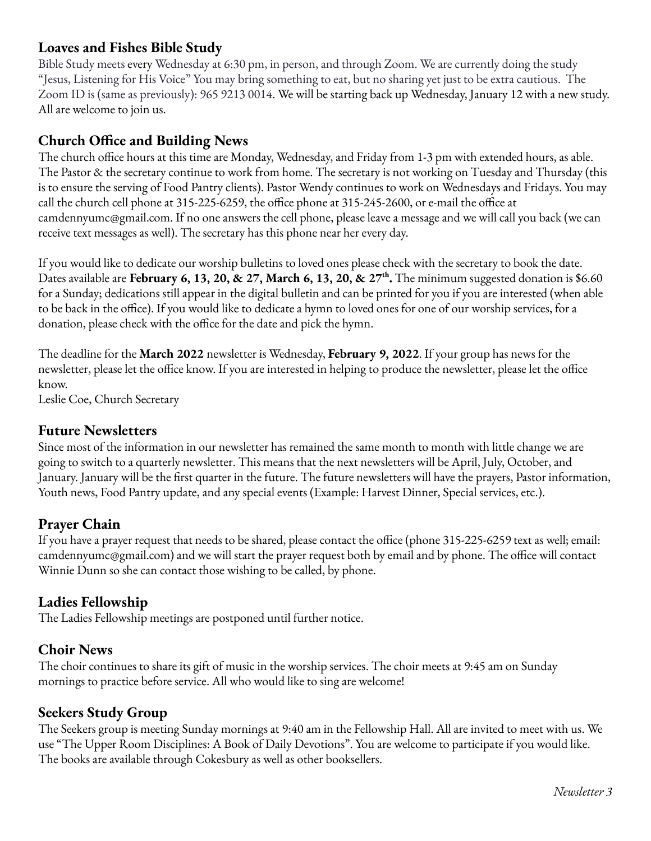## **Loaves and Fishes Bible Study**

Bible Study meets every Wednesday at 6:30 pm, in person, and through Zoom. We are currently doing the study "Jesus, Listening for His Voice" You may bring something to eat, but no sharing yet just to be extra cautious. The Zoom ID is (same as previously): 965 9213 0014. We will be starting back up Wednesday, January 12 with a new study. All are welcome to join us.

# **Church Office and Building News**

The church office hours at this time are Monday, Wednesday, and Friday from 1-3 pm with extended hours, as able. The Pastor & the secretary continue to work from home. The secretary is not working on Tuesday and Thursday (this is to ensure the serving of Food Pantry clients). Pastor Wendy continues to work on Wednesdays and Fridays. You may call the church cell phone at 315-225-6259, the office phone at 315-245-2600, or e-mail the office at camdennyumc@gmail.com. If no one answers the cell phone, please leave a message and we will call you back (we can receive text messages as well). The secretary has this phone near her every day.

If you would like to dedicate our worship bulletins to loved ones please check with the secretary to book the date. Dates available are **February 6, 13, 20, & 27, March 6, 13, 20, & 27 th .** The minimum suggested donation is \$6.60 for a Sunday; dedications still appear in the digital bulletin and can be printed for you if you are interested (when able to be back in the office). If you would like to dedicate a hymn to loved ones for one of our worship services, for a donation, please check with the office for the date and pick the hymn.

The deadline for the **March 2022** newsletter is Wednesday, **February 9, 2022**. If your group has news for the newsletter, please let the office know. If you are interested in helping to produce the newsletter, please let the office know.

Leslie Coe, Church Secretary

#### **Future Newsletters**

Since most of the information in our newsletter has remained the same month to month with little change we are going to switch to a quarterly newsletter. This means that the next newsletters will be April, July, October, and January. January will be the first quarter in the future. The future newsletters will have the prayers, Pastor information, Youth news, Food Pantry update, and any special events (Example: Harvest Dinner, Special services, etc.).

## **Prayer Chain**

If you have a prayer request that needs to be shared, please contact the office (phone 315-225-6259 text as well; email: camdennyumc@gmail.com) and we will start the prayer request both by email and by phone. The office will contact Winnie Dunn so she can contact those wishing to be called, by phone.

## **Ladies Fellowship**

The Ladies Fellowship meetings are postponed until further notice.

## **Choir News**

The choir continues to share its gift of music in the worship services. The choir meets at 9:45 am on Sunday mornings to practice before service. All who would like to sing are welcome!

#### **Seekers Study Group**

The Seekers group is meeting Sunday mornings at 9:40 am in the Fellowship Hall. All are invited to meet with us. We use "The Upper Room Disciplines: A Book of Daily Devotions". You are welcome to participate if you would like. The books are available through Cokesbury as well as other booksellers.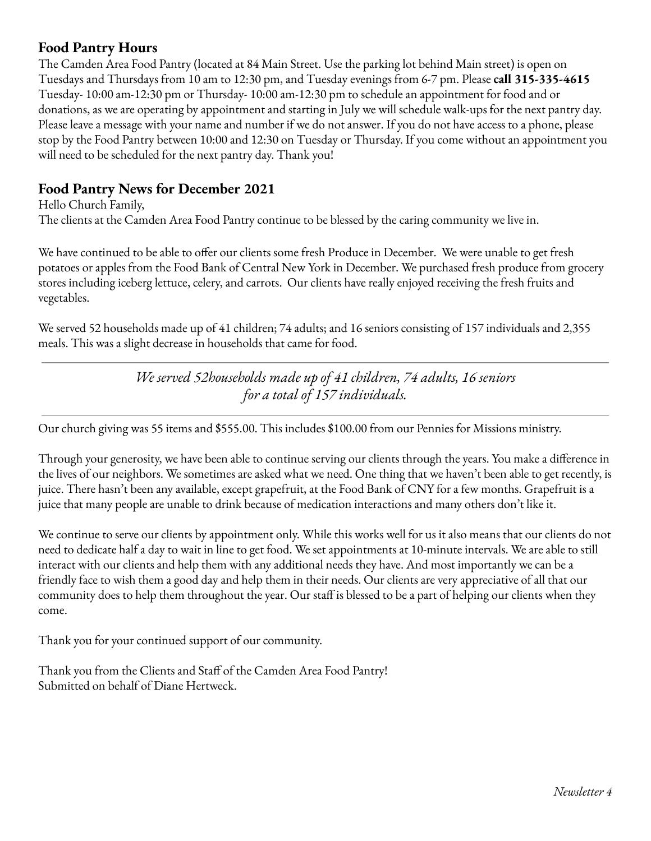## **Food Pantry Hours**

The Camden Area Food Pantry (located at 84 Main Street. Use the parking lot behind Main street) is open on Tuesdays and Thursdays from 10 am to 12:30 pm, and Tuesday evenings from 6-7 pm. Please **call 315-335-4615** Tuesday- 10:00 am-12:30 pm or Thursday- 10:00 am-12:30 pm to schedule an appointment for food and or donations, as we are operating by appointment and starting in July we will schedule walk-ups for the next pantry day. Please leave a message with your name and number if we do not answer. If you do not have access to a phone, please stop by the Food Pantry between 10:00 and 12:30 on Tuesday or Thursday. If you come without an appointment you will need to be scheduled for the next pantry day. Thank you!

## **Food Pantry News for December 2021**

Hello Church Family, The clients at the Camden Area Food Pantry continue to be blessed by the caring community we live in.

We have continued to be able to offer our clients some fresh Produce in December. We were unable to get fresh potatoes or apples from the Food Bank of Central New York in December. We purchased fresh produce from grocery stores including iceberg lettuce, celery, and carrots. Our clients have really enjoyed receiving the fresh fruits and vegetables.

We served 52 households made up of 41 children; 74 adults; and 16 seniors consisting of 157 individuals and 2,355 meals. This was a slight decrease in households that came for food.

> *We served 52households made up of 41 children, 74 adults, 16 seniors for a total of 157 individuals.*

Our church giving was 55 items and \$555.00. This includes \$100.00 from our Pennies for Missions ministry.

Through your generosity, we have been able to continue serving our clients through the years. You make a difference in the lives of our neighbors. We sometimes are asked what we need. One thing that we haven't been able to get recently, is juice. There hasn't been any available, except grapefruit, at the Food Bank of CNY for a few months. Grapefruit is a juice that many people are unable to drink because of medication interactions and many others don't like it.

We continue to serve our clients by appointment only. While this works well for us it also means that our clients do not need to dedicate half a day to wait in line to get food. We set appointments at 10-minute intervals. We are able to still interact with our clients and help them with any additional needs they have. And most importantly we can be a friendly face to wish them a good day and help them in their needs. Our clients are very appreciative of all that our community does to help them throughout the year. Our staff is blessed to be a part of helping our clients when they come.

Thank you for your continued support of our community.

Thank you from the Clients and Staff of the Camden Area Food Pantry! Submitted on behalf of Diane Hertweck.